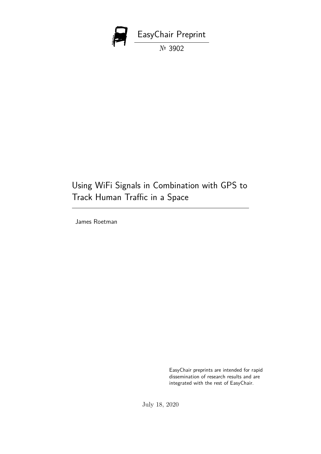

# Using WiFi Signals in Combination with GPS to Track Human Traffic in a Space

James Roetman

EasyChair preprints are intended for rapid dissemination of research results and are integrated with the rest of EasyChair.

July 18, 2020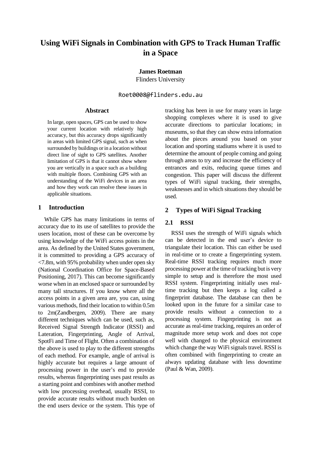# **Using WiFi Signals in Combination with GPS to Track Human Traffic in a Space**

**James Roetman**

Flinders University

Roet0008@flinders.edu.au

#### **Abstract**

In large, open spaces, GPS can be used to show your current location with relatively high accuracy, but this accuracy drops significantly in areas with limited GPS signal, such as when surrounded by buildings or in a location without direct line of sight to GPS satellites. Another limitation of GPS is that it cannot show where you are vertically in a space such as a building with multiple floors. Combining GPS with an understanding of the WiFi devices in an area and how they work can resolve these issues in applicable situations.

#### **1 Introduction**

While GPS has many limitations in terms of accuracy due to its use of satellites to provide the users location, most of these can be overcome by using knowledge of the WiFi access points in the area. As defined by the United States government, it is committed to providing a GPS accuracy of <7.8m, with 95% probability when under open sky (National Coordination Office for Space-Based Positioning, 2017). This can become significantly worse when in an enclosed space or surrounded by many tall structures. If you know where all the access points in a given area are, you can, using various methods, find their location to within 0.5m to 2m(Zandbergen, 2009). There are many different techniques which can be used, such as, Received Signal Strength Indicator (RSSI) and Lateration, Fingerprinting, Angle of Arrival, SpotFi and Time of Flight. Often a combination of the above is used to play to the different strengths of each method. For example, angle of arrival is highly accurate but requires a large amount of processing power in the user's end to provide results, whereas fingerprinting uses past results as a starting point and combines with another method with low processing overhead, usually RSSI, to provide accurate results without much burden on the end users device or the system. This type of tracking has been in use for many years in large shopping complexes where it is used to give accurate directions to particular locations; in museums, so that they can show extra information about the pieces around you based on your location and sporting stadiums where it is used to determine the amount of people coming and going through areas to try and increase the efficiency of entrances and exits, reducing queue times and congestion. This paper will discuss the different types of WiFi signal tracking, their strengths, weaknesses and in which situations they should be used.

#### **2 Types of WiFi Signal Tracking**

#### **2.1 RSSI**

RSSI uses the strength of WiFi signals which can be detected in the end user's device to triangulate their location. This can either be used in real-time or to create a fingerprinting system. Real-time RSSI tracking requires much more processing power at the time of tracking but is very simple to setup and is therefore the most used RSSI system. Fingerprinting initially uses realtime tracking but then keeps a log called a fingerprint database. The database can then be looked upon in the future for a similar case to provide results without a connection to a processing system. Fingerprinting is not as accurate as real-time tracking, requires an order of magnitude more setup work and does not cope well with changed to the physical environment which change the way WiFi signals travel. RSSI is often combined with fingerprinting to create an always updating database with less downtime (Paul & Wan, 2009).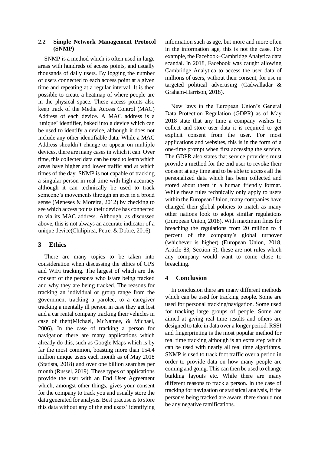#### **2.2 Simple Network Management Protocol (SNMP)**

SNMP is a method which is often used in large areas with hundreds of access points, and usually thousands of daily users. By logging the number of users connected to each access point at a given time and repeating at a regular interval. It is then possible to create a heatmap of where people are in the physical space. These access points also keep track of the Media Access Control (MAC) Address of each device. A MAC address is a 'unique' identifier, baked into a device which can be used to identify a device, although it does not include any other identifiable data. While a MAC Address shouldn't change or appear on multiple devices, there are many cases in which it can. Over time, this collected data can be used to learn which areas have higher and lower traffic and at which times of the day. SNMP is not capable of tracking a singular person in real-time with high accuracy although it can technically be used to track someone's movements through an area in a broad sense (Meneses & Moreira, 2012) by checking to see which access points their device has connected to via its MAC address. Although, as discussed above, this is not always an accurate indicator of a unique device(Chilipirea, Petre, & Dobre, 2016).

# **3 Ethics**

There are many topics to be taken into consideration when discussing the ethics of GPS and WiFi tracking. The largest of which are the consent of the person/s who is/are being tracked and why they are being tracked. The reasons for tracking an individual or group range from the government tracking a parolee, to a caregiver tracking a mentally ill person in case they get lost and a car rental company tracking their vehicles in case of theft(Michael, McNamee, & Michael, 2006). In the case of tracking a person for navigation there are many applications which already do this, such as Google Maps which is by far the most common, boasting more than 154.4 million unique users each month as of May 2018 (Statista, 2018) and over one billion searches per month (Russel, 2019). These types of applications provide the user with an End User Agreement which, amongst other things, gives your consent for the company to track you and usually store the data generated for analysis. Best practise is to store this data without any of the end users' identifying

information such as age, but more and more often in the information age, this is not the case. For example, the Facebook–Cambridge Analytica data scandal. In 2018, Facebook was caught allowing Cambridge Analytica to access the user data of millions of users, without their consent, for use in targeted political advertising (Cadwalladar & Graham-Harrison, 2018).

New laws in the European Union's General Data Protection Regulation (GDPR) as of May 2018 state that any time a company wishes to collect and store user data it is required to get explicit consent from the user. For most applications and websites, this is in the form of a one-time prompt when first accessing the service. The GDPR also states that service providers must provide a method for the end user to revoke their consent at any time and to be able to access all the personalized data which has been collected and stored about them in a human friendly format. While these rules technically only apply to users within the European Union, many companies have changed their global policies to match as many other nations look to adopt similar regulations (European Union, 2018). With maximum fines for breaching the regulations from 20 million to 4 percent of the company's global turnover (whichever is higher) (European Union, 2018, Article 83, Section 5), these are not rules which any company would want to come close to breaching.

# **4 Conclusion**

In conclusion there are many different methods which can be used for tracking people. Some are used for personal tracking/navigation. Some used for tracking large groups of people. Some are aimed at giving real time results and others are designed to take in data over a longer period. RSSI and fingerprinting is the most popular method for real time tracking although is an extra step which can be used with nearly all real time algorithms. SNMP is used to track foot traffic over a period in order to provide data on how many people are coming and going. This can then be used to change building layouts etc. While there are many different reasons to track a person. In the case of tracking for navigation or statistical analysis, if the person/s being tracked are aware, there should not be any negative ramifications.